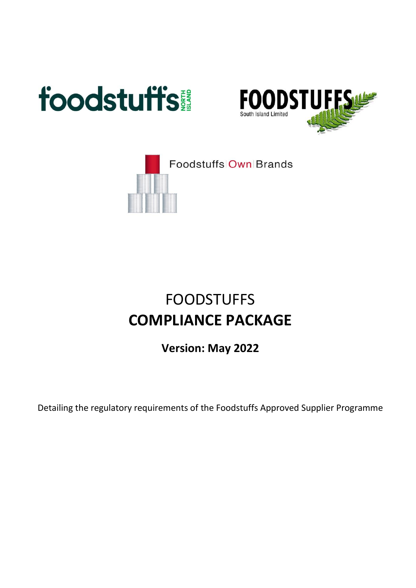





# FOODSTUFFS **COMPLIANCE PACKAGE**

**Version: May 2022**

Detailing the regulatory requirements of the Foodstuffs Approved Supplier Programme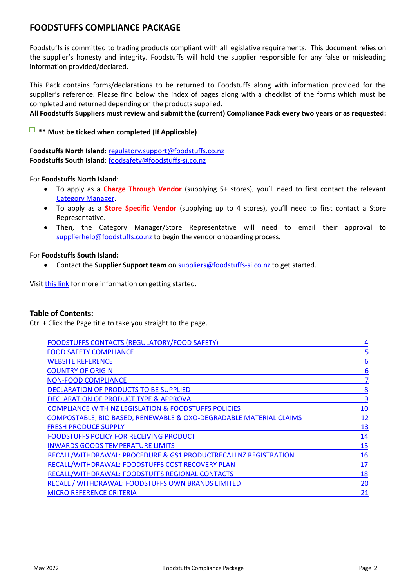#### **FOODSTUFFS COMPLIANCE PACKAGE**

Foodstuffs is committed to trading products compliant with all legislative requirements. This document relies on the supplier's honesty and integrity. Foodstuffs will hold the supplier responsible for any false or misleading information provided/declared.

This Pack contains forms/declarations to be returned to Foodstuffs along with information provided for the supplier's reference. Please find below the index of pages along with a checklist of the forms which must be completed and returned depending on the products supplied.

#### **All Foodstuffs Suppliers must review and submit the (current) Compliance Pack every two years or as requested:**

#### **\*\* Must be ticked when completed (If Applicable)**

**Foodstuffs North Island**: [regulatory.support@foodstuffs.co.nz](mailto:regulatory.support@foodstuffs.co.nz) **Foodstuffs South Island**: [foodsafety@foodstuffs-si.co.nz](mailto:foodsafety@foodstuffs-si.co.nz)

For **Foodstuffs North Island**:

- To apply as a **Charge Through Vendor** (supplying 5+ stores), you'll need to first contact the relevant [Category Manager.](https://supplierhelp.foodstuffs.co.nz/en/article/category-managerscontact-list)
- To apply as a **Store Specific Vendor** (supplying up to 4 stores), you'll need to first contact a Store Representative.
- **Then**, the Category Manager/Store Representative will need to email their approval to [supplierhelp@foodstuffs.co.nz](mailto:supplierhelp@foodstuffs.co.nz) to begin the vendor onboarding process.

#### For **Foodstuffs South Island:**

• Contact the **Supplier Support team** on [suppliers@foodstuffs-si.co.nz](mailto:suppliers@foodstuffs-si.co.nz) to get started.

Visit [this link](https://suppliers.foodstuffs.co.nz/become-a-supplier/setting-up-your-trading-account/) for more information on getting started.

#### **Table of Contents:**

Ctrl + Click the Page title to take you straight to the page.

| <b>FOODSTUFFS CONTACTS (REGULATORY/FOOD SAFETY)</b>                | 4          |
|--------------------------------------------------------------------|------------|
| <b>FOOD SAFETY COMPLIANCE</b>                                      | 5          |
| <b>WEBSITE REFERENCE</b>                                           | 6          |
| <b>COUNTRY OF ORIGIN</b>                                           | 6          |
| <b>NON-FOOD COMPLIANCE</b>                                         | 7          |
| DECLARATION OF PRODUCTS TO BE SUPPLIED                             | 8          |
| DECLARATION OF PRODUCT TYPE & APPROVAL                             | 9          |
| <b>COMPLIANCE WITH NZ LEGISLATION &amp; FOODSTUFFS POLICIES</b>    | 10         |
| COMPOSTABLE, BIO BASED, RENEWABLE & OXO-DEGRADABLE MATERIAL CLAIMS | <u> 12</u> |
| <b>FRESH PRODUCE SUPPLY</b>                                        | 13         |
| FOODSTUFFS POLICY FOR RECEIVING PRODUCT                            | 14         |
| <b>INWARDS GOODS TEMPERATURE LIMITS</b>                            | 15         |
| RECALL/WITHDRAWAL: PROCEDURE & GS1 PRODUCTRECALLNZ REGISTRATION    | 16         |
| RECALL/WITHDRAWAL: FOODSTUFFS COST RECOVERY PLAN                   | 17         |
| RECALL/WITHDRAWAL: FOODSTUFFS REGIONAL CONTACTS                    | 18         |
| RECALL / WITHDRAWAL: FOODSTUFFS OWN BRANDS LIMITED                 | 20         |
| <b>MICRO REFERENCE CRITERIA</b>                                    | 21         |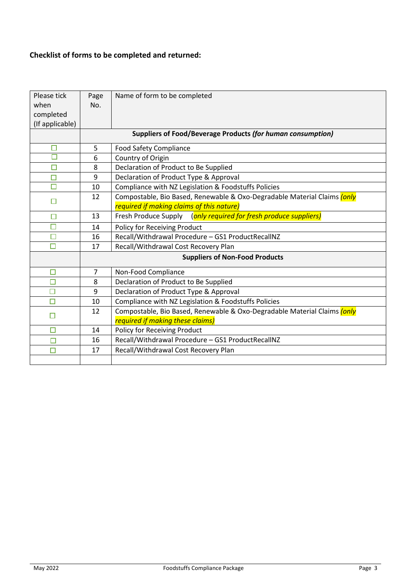# **Checklist of forms to be completed and returned:**

| Please tick<br>when<br>completed<br>(If applicable) | Page<br>No.    | Name of form to be completed                                                    |
|-----------------------------------------------------|----------------|---------------------------------------------------------------------------------|
|                                                     |                | Suppliers of Food/Beverage Products (for human consumption)                     |
|                                                     |                |                                                                                 |
|                                                     | 5              | <b>Food Safety Compliance</b>                                                   |
| Π                                                   | 6              | Country of Origin                                                               |
| $\Box$                                              | 8              | Declaration of Product to Be Supplied                                           |
| □                                                   | 9              | Declaration of Product Type & Approval                                          |
| П                                                   | 10             | Compliance with NZ Legislation & Foodstuffs Policies                            |
| $\Box$                                              | 12             | Compostable, Bio Based, Renewable & Oxo-Degradable Material Claims <i>(only</i> |
|                                                     |                | required if making claims of this nature)                                       |
| $\Box$                                              | 13             | Fresh Produce Supply (only required for fresh produce suppliers)                |
| □                                                   | 14             | Policy for Receiving Product                                                    |
| П                                                   | 16             | Recall/Withdrawal Procedure - GS1 ProductRecallNZ                               |
| $\Box$                                              | 17             | Recall/Withdrawal Cost Recovery Plan                                            |
|                                                     |                | <b>Suppliers of Non-Food Products</b>                                           |
| □                                                   | $\overline{7}$ | Non-Food Compliance                                                             |
| $\Box$                                              | 8              | Declaration of Product to Be Supplied                                           |
| □                                                   | 9              | Declaration of Product Type & Approval                                          |
| Ω                                                   | 10             | Compliance with NZ Legislation & Foodstuffs Policies                            |
|                                                     | 12             | Compostable, Bio Based, Renewable & Oxo-Degradable Material Claims (only        |
| П                                                   |                | required if making these claims)                                                |
| □                                                   | 14             | Policy for Receiving Product                                                    |
| □                                                   | 16             | Recall/Withdrawal Procedure - GS1 ProductRecallNZ                               |
| $\Box$                                              | 17             | Recall/Withdrawal Cost Recovery Plan                                            |
|                                                     |                |                                                                                 |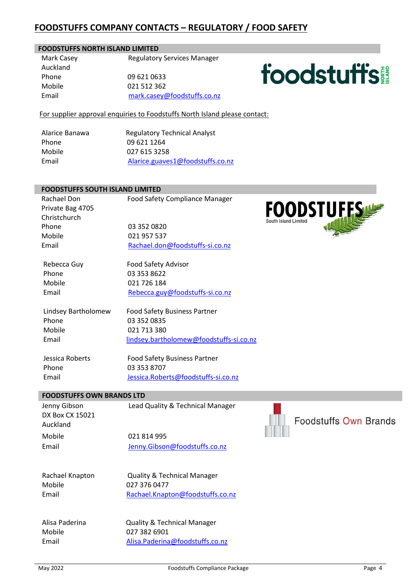# <span id="page-3-0"></span>**FOODSTUFFS COMPANY CONTACTS – REGULATORY / FOOD SAFETY**

#### **FOODSTUFFS NORTH ISLAND LIMITED**

Mark Casey **Regulatory Services Manager** Auckland Phone 09 621 0633 Mobile 021 512 362 Email [mark.casey@foodstuffs.co.nz](mailto:mark.casey@foodstuffs.co.nz)

# **foodstuffs!**

For supplier approval enquiries to Foodstuffs North Island please contact:

Phone 09 621 1264 Mobile 027 615 3258

Alarice Banawa Regulatory Technical Analyst Email [Alarice.guaves1@foodstuffs.co.nz](mailto:Alarice.guaves1@foodstuffs.co.nz)

#### **FOODSTUFFS SOUTH ISLAND LIMITED**

Rachael DonFood Safety Compliance Manager Private Bag 4705 Christchurch Phone 03 352 0820 Mobile 021 957 537 Email [Rachael.don@foodstuffs-si.co.nz](mailto:Rachael.don@foodstuffs-si.co.nz)

Rebecca Guy Food Safety Advisor Phone 03 353 8622 Mobile 021 726 184 Email [Rebecca.guy@foodstuffs-si.co.nz](mailto:Rebecca.guy@foodstuffs-si.co.nz)

 Lindsey Bartholomew Food Safety Business Partner Phone 03 352 0835 Mobile 021 713 380 Email [lindsey.bartholomew@foodstuffs-si.co.nz](mailto:lindsey.bartholomew@foodstuffs-si.co.nz)

Phone 03 353 8707

 Jessica Roberts Food Safety Business Partner Email [Jessica.Roberts@foodstuffs-si.co.nz](mailto:Jessica.Roberts@foodstuffs-si.co.nz)

#### **FOODSTUFFS OWN BRANDS LTD**

DX Box CX 15021 Auckland Mobile 021 814 995

Jenny Gibson Lead Quality & Technical Manager

Email [Jenny.Gibson@foodstuffs.co.nz](mailto:Jenny.Gibson@foodstuffs.co.nz)

Mobile Email

Rachael Knapton Quality & Technical Manager 027 376 0477 [Rachael.Knapton@foodstuffs.co.nz](mailto:Rachael.Knapton@foodstuffs.co.nz)

Mobile Email

Alisa Paderina Quality & Technical Manager 027 382 6901 [Alisa.Paderina@foodstuffs.co.nz](mailto:Alisa.Paderina@foodstuffs.co.nz)



**Foodstuffs Own Brands**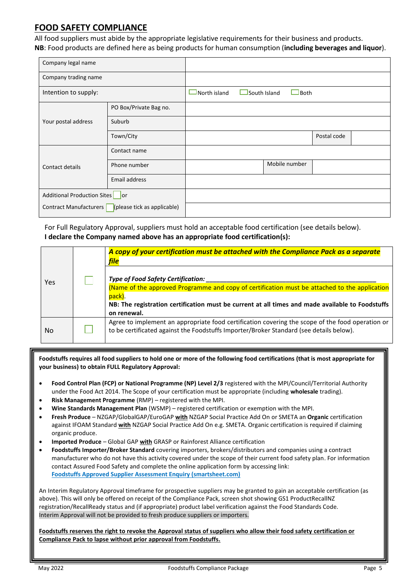#### <span id="page-4-0"></span>**FOOD SAFETY COMPLIANCE**

All food suppliers must abide by the appropriate legislative requirements for their business and products. **NB**: Food products are defined here as being products for human consumption (**including beverages and liquor**).

| Company legal name                                    |                        |              |                             |             |  |
|-------------------------------------------------------|------------------------|--------------|-----------------------------|-------------|--|
| Company trading name                                  |                        |              |                             |             |  |
| Intention to supply:                                  |                        | North island | South Island<br><b>Both</b> |             |  |
|                                                       | PO Box/Private Bag no. |              |                             |             |  |
| Your postal address                                   | Suburb                 |              |                             |             |  |
|                                                       | Town/City              |              |                             | Postal code |  |
|                                                       | Contact name           |              |                             |             |  |
| Contact details                                       | Phone number           |              | Mobile number               |             |  |
|                                                       | Email address          |              |                             |             |  |
| <b>Additional Production Sites</b><br><b>l</b> or     |                        |              |                             |             |  |
| (please tick as applicable)<br>Contract Manufacturers |                        |              |                             |             |  |

For Full Regulatory Approval, suppliers must hold an acceptable food certification (see details below). **I declare the Company named above has an appropriate food certification(s):**

|     | A copy of your certification must be attached with the Compliance Pack as a separate<br><b>file</b>                                                                                                                                                              |
|-----|------------------------------------------------------------------------------------------------------------------------------------------------------------------------------------------------------------------------------------------------------------------|
| Yes | Type of Food Safety Certification:<br>(Name of the approved Programme and copy of certification must be attached to the application<br>pack).<br>NB: The registration certification must be current at all times and made available to Foodstuffs<br>on renewal. |
| No  | Agree to implement an appropriate food certification covering the scope of the food operation or<br>to be certificated against the Foodstuffs Importer/Broker Standard (see details below).                                                                      |

**Foodstuffs requires all food suppliers to hold one or more of the following food certifications (that is most appropriate for your business) to obtain FULL Regulatory Approval:**

- **Food Control Plan (FCP) or National Programme (NP) Level 2/3** registered with the MPI/Council/Territorial Authority under the Food Act 2014. The Scope of your certification must be appropriate (including **wholesale** trading).
- **Risk Management Programme** (RMP) registered with the MPI.
- **Wine Standards Management Plan** (WSMP) registered certification or exemption with the MPI.
- **Fresh Produce** NZGAP/GlobalGAP/EuroGAP **with** NZGAP Social Practice Add On or SMETA an **Organic** certification against IFOAM Standard **with** NZGAP Social Practice Add On e.g. SMETA. Organic certification is required if claiming organic produce.
- **Imported Produce** Global GAP **with** GRASP or Rainforest Alliance certification
- **Foodstuffs Importer/Broker Standard** covering importers, brokers/distributors and companies using a contract manufacturer who do not have this activity covered under the scope of their current food safety plan. For information contact Assured Food Safety and complete the online application form by accessing link: **[Foodstuffs Approved Supplier Assessment Enquiry \(smartsheet.com\)](https://app.smartsheet.com/b/form/47195d93703240b69b75843f77a6a2fc)**

An Interim Regulatory Approval timeframe for prospective suppliers may be granted to gain an acceptable certification (as above). This will only be offered on receipt of the Compliance Pack, screen shot showing GS1 ProductRecallNZ registration/RecallReady status and (if appropriate) product label verification against the Food Standards Code. Interim Approval will not be provided to fresh produce suppliers or importers.

**Foodstuffs reserves the right to revoke the Approval status of suppliers who allow their food safety certification or Compliance Pack to lapse without prior approval from Foodstuffs.**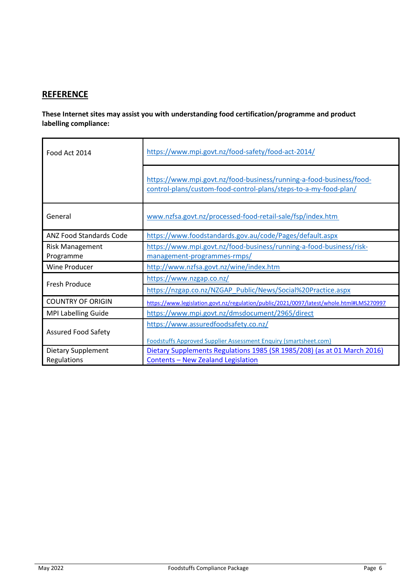# <span id="page-5-0"></span>**REFERENCE**

**These Internet sites may assist you with understanding food certification/programme and product labelling compliance:**

<span id="page-5-1"></span>

| Food Act 2014                            | https://www.mpi.govt.nz/food-safety/food-act-2014/                                                                                      |  |  |
|------------------------------------------|-----------------------------------------------------------------------------------------------------------------------------------------|--|--|
|                                          | https://www.mpi.govt.nz/food-business/running-a-food-business/food-<br>control-plans/custom-food-control-plans/steps-to-a-my-food-plan/ |  |  |
| General                                  | www.nzfsa.govt.nz/processed-food-retail-sale/fsp/index.htm                                                                              |  |  |
| <b>ANZ Food Standards Code</b>           | https://www.foodstandards.gov.au/code/Pages/default.aspx                                                                                |  |  |
| <b>Risk Management</b><br>Programme      | https://www.mpi.govt.nz/food-business/running-a-food-business/risk-<br>management-programmes-rmps/                                      |  |  |
| <b>Wine Producer</b>                     | http://www.nzfsa.govt.nz/wine/index.htm                                                                                                 |  |  |
| <b>Fresh Produce</b>                     | https://www.nzgap.co.nz/                                                                                                                |  |  |
|                                          | https://nzgap.co.nz/NZGAP Public/News/Social%20Practice.aspx                                                                            |  |  |
| <b>COUNTRY OF ORIGIN</b>                 | https://www.legislation.govt.nz/regulation/public/2021/0097/latest/whole.html#LMS270997                                                 |  |  |
| MPI Labelling Guide                      | https://www.mpi.govt.nz/dmsdocument/2965/direct                                                                                         |  |  |
| <b>Assured Food Safety</b>               | https://www.assuredfoodsafety.co.nz/<br>Foodstuffs Approved Supplier Assessment Enquiry (smartsheet.com)                                |  |  |
| <b>Dietary Supplement</b><br>Regulations | Dietary Supplements Regulations 1985 (SR 1985/208) (as at 01 March 2016)<br>Contents - New Zealand Legislation                          |  |  |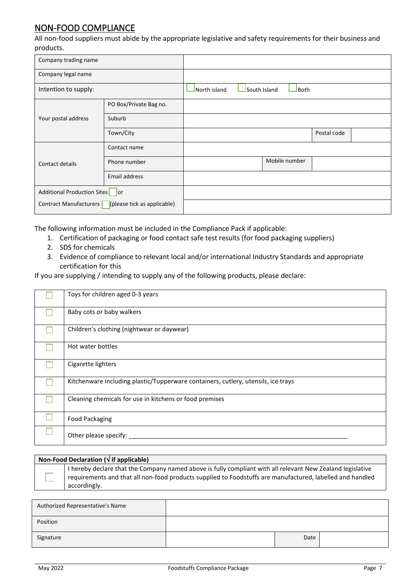# <span id="page-6-0"></span>NON-FOOD COMPLIANCE

All non-food suppliers must abide by the appropriate legislative and safety requirements for their business and products.

| Company trading name                                  |                        |              |              |               |             |  |
|-------------------------------------------------------|------------------------|--------------|--------------|---------------|-------------|--|
| Company legal name                                    |                        |              |              |               |             |  |
| Intention to supply:                                  |                        | North island | South Island | Both          |             |  |
|                                                       | PO Box/Private Bag no. |              |              |               |             |  |
| Your postal address                                   | Suburb                 |              |              |               |             |  |
|                                                       | Town/City              |              |              |               | Postal code |  |
|                                                       | Contact name           |              |              |               |             |  |
| Contact details                                       | Phone number           |              |              | Mobile number |             |  |
|                                                       | Email address          |              |              |               |             |  |
| Additional Production Sites or                        |                        |              |              |               |             |  |
| Contract Manufacturers<br>(please tick as applicable) |                        |              |              |               |             |  |

The following information must be included in the Compliance Pack if applicable:

- 1. Certification of packaging or food contact safe test results (for food packaging suppliers)
- 2. SDS for chemicals
- 3. Evidence of compliance to relevant local and/or international Industry Standards and appropriate certification for this

If you are supplying / intending to supply any of the following products, please declare:

| Toys for children aged 0-3 years                                                  |
|-----------------------------------------------------------------------------------|
| Baby cots or baby walkers                                                         |
| Children's clothing (nightwear or daywear)                                        |
| Hot water bottles                                                                 |
| Cigarette lighters                                                                |
| Kitchenware including plastic/Tupperware containers, cutlery, utensils, ice trays |
| Cleaning chemicals for use in kitchens or food premises                           |
| <b>Food Packaging</b>                                                             |
| Other please specify:                                                             |

| Non-Food Declaration ( $\sqrt{ }$ if applicable)                                                                                                                                                                                        |
|-----------------------------------------------------------------------------------------------------------------------------------------------------------------------------------------------------------------------------------------|
| I hereby declare that the Company named above is fully compliant with all relevant New Zealand legislative<br>requirements and that all non-food products supplied to Foodstuffs are manufactured, labelled and handled<br>accordingly. |
|                                                                                                                                                                                                                                         |

| Authorized Representative's Name |      |  |
|----------------------------------|------|--|
| Position                         |      |  |
| Signature                        | Date |  |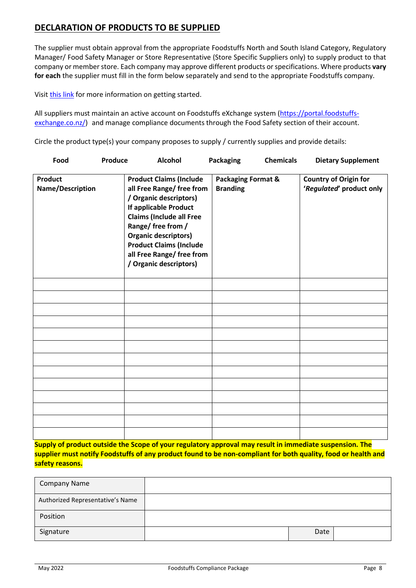# <span id="page-7-0"></span>**DECLARATION OF PRODUCTS TO BE SUPPLIED**

The supplier must obtain approval from the appropriate Foodstuffs North and South Island Category, Regulatory Manager/ Food Safety Manager or Store Representative (Store Specific Suppliers only) to supply product to that company or member store. Each company may approve different products or specifications. Where products **vary for each** the supplier must fill in the form below separately and send to the appropriate Foodstuffs company.

Visit [this link](https://suppliers.foodstuffs.co.nz/become-a-supplier/setting-up-your-trading-account/) for more information on getting started.

All suppliers must maintain an active account on Foodstuffs eXchange system [\(https://portal.foodstuffs](https://portal.foodstuffs-exchange.co.nz/)[exchange.co.nz/\)](https://portal.foodstuffs-exchange.co.nz/) and manage compliance documents through the Food Safety section of their account.

Circle the product type(s) your company proposes to supply / currently supplies and provide details:

| Food                               | Produce | <b>Alcohol</b>                                                                                                                                                                                                                                                                                  | <b>Packaging</b>                                 | <b>Chemicals</b> | <b>Dietary Supplement</b>                                |
|------------------------------------|---------|-------------------------------------------------------------------------------------------------------------------------------------------------------------------------------------------------------------------------------------------------------------------------------------------------|--------------------------------------------------|------------------|----------------------------------------------------------|
| <b>Product</b><br>Name/Description |         | <b>Product Claims (Include</b><br>all Free Range/ free from<br>/ Organic descriptors)<br>If applicable Product<br><b>Claims (Include all Free</b><br>Range/ free from /<br><b>Organic descriptors)</b><br><b>Product Claims (Include</b><br>all Free Range/ free from<br>/ Organic descriptors) | <b>Packaging Format &amp;</b><br><b>Branding</b> |                  | <b>Country of Origin for</b><br>'Regulated' product only |
|                                    |         |                                                                                                                                                                                                                                                                                                 |                                                  |                  |                                                          |
|                                    |         |                                                                                                                                                                                                                                                                                                 |                                                  |                  |                                                          |
|                                    |         |                                                                                                                                                                                                                                                                                                 |                                                  |                  |                                                          |
|                                    |         |                                                                                                                                                                                                                                                                                                 |                                                  |                  |                                                          |
|                                    |         |                                                                                                                                                                                                                                                                                                 |                                                  |                  |                                                          |
|                                    |         |                                                                                                                                                                                                                                                                                                 |                                                  |                  |                                                          |
|                                    |         |                                                                                                                                                                                                                                                                                                 |                                                  |                  |                                                          |
|                                    |         |                                                                                                                                                                                                                                                                                                 |                                                  |                  |                                                          |
|                                    |         |                                                                                                                                                                                                                                                                                                 |                                                  |                  |                                                          |
|                                    |         |                                                                                                                                                                                                                                                                                                 |                                                  |                  |                                                          |
|                                    |         |                                                                                                                                                                                                                                                                                                 |                                                  |                  |                                                          |
|                                    |         |                                                                                                                                                                                                                                                                                                 |                                                  |                  |                                                          |
|                                    |         |                                                                                                                                                                                                                                                                                                 |                                                  |                  |                                                          |

**Supply of product outside the Scope of your regulatory approval may result in immediate suspension. The supplier must notify Foodstuffs of any product found to be non-compliant for both quality, food or health and safety reasons.**

<span id="page-7-1"></span>

| <b>Company Name</b>              |      |  |
|----------------------------------|------|--|
| Authorized Representative's Name |      |  |
| Position                         |      |  |
| Signature                        | Date |  |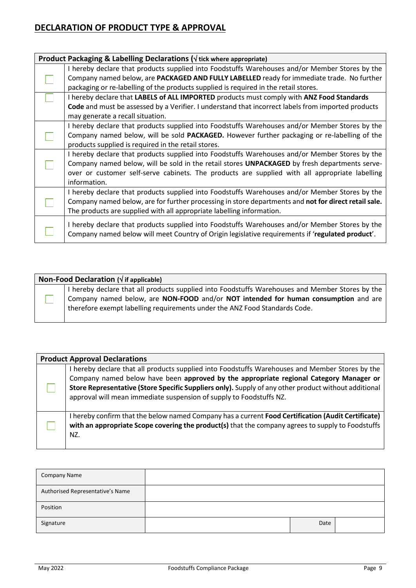# **DECLARATION OF PRODUCT TYPE & APPROVAL**

| Product Packaging & Labelling Declarations ( $\sqrt{ }$ tick where appropriate)                      |
|------------------------------------------------------------------------------------------------------|
| I hereby declare that products supplied into Foodstuffs Warehouses and/or Member Stores by the       |
| Company named below, are PACKAGED AND FULLY LABELLED ready for immediate trade. No further           |
| packaging or re-labelling of the products supplied is required in the retail stores.                 |
| I hereby declare that LABELS of ALL IMPORTED products must comply with ANZ Food Standards            |
| Code and must be assessed by a Verifier. I understand that incorrect labels from imported products   |
| may generate a recall situation.                                                                     |
| I hereby declare that products supplied into Foodstuffs Warehouses and/or Member Stores by the       |
| Company named below, will be sold <b>PACKAGED.</b> However further packaging or re-labelling of the  |
| products supplied is required in the retail stores.                                                  |
| I hereby declare that products supplied into Foodstuffs Warehouses and/or Member Stores by the       |
| Company named below, will be sold in the retail stores UNPACKAGED by fresh departments serve-        |
| over or customer self-serve cabinets. The products are supplied with all appropriate labelling       |
| information.                                                                                         |
| I hereby declare that products supplied into Foodstuffs Warehouses and/or Member Stores by the       |
| Company named below, are for further processing in store departments and not for direct retail sale. |
| The products are supplied with all appropriate labelling information.                                |
| I hereby declare that products supplied into Foodstuffs Warehouses and/or Member Stores by the       |
| Company named below will meet Country of Origin legislative requirements if 'regulated product'.     |
|                                                                                                      |

| Non-Food Declaration ( $\sqrt{ }$ if applicable) |                                                                                                                                                                                                                                                                      |  |
|--------------------------------------------------|----------------------------------------------------------------------------------------------------------------------------------------------------------------------------------------------------------------------------------------------------------------------|--|
|                                                  | I hereby declare that all products supplied into Foodstuffs Warehouses and Member Stores by the<br>Company named below, are NON-FOOD and/or NOT intended for human consumption and are<br>therefore exempt labelling requirements under the ANZ Food Standards Code. |  |

| <b>Product Approval Declarations</b>                                                                                                                                                                                                                                                                                                                                     |  |  |
|--------------------------------------------------------------------------------------------------------------------------------------------------------------------------------------------------------------------------------------------------------------------------------------------------------------------------------------------------------------------------|--|--|
| I hereby declare that all products supplied into Foodstuffs Warehouses and Member Stores by the<br>Company named below have been approved by the appropriate regional Category Manager or<br>Store Representative (Store Specific Suppliers only). Supply of any other product without additional<br>approval will mean immediate suspension of supply to Foodstuffs NZ. |  |  |
| I hereby confirm that the below named Company has a current Food Certification (Audit Certificate)<br>with an appropriate Scope covering the product(s) that the company agrees to supply to Foodstuffs<br>NZ.                                                                                                                                                           |  |  |

| <b>Company Name</b>              |      |  |
|----------------------------------|------|--|
| Authorised Representative's Name |      |  |
| Position                         |      |  |
| Signature                        | Date |  |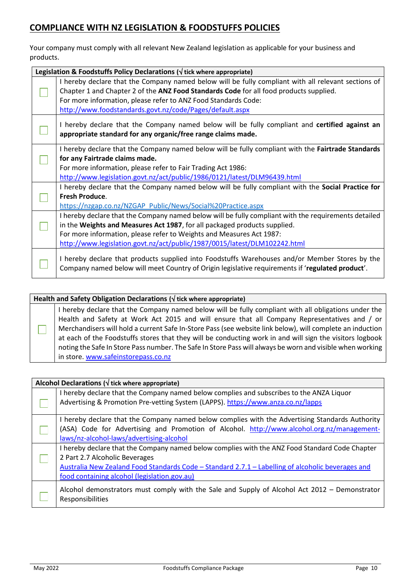# <span id="page-9-0"></span>**COMPLIANCE WITH NZ LEGISLATION & FOODSTUFFS POLICIES**

Your company must comply with all relevant New Zealand legislation as applicable for your business and products.

|                                                                                                                                                                                                                                                                                                                                        | Legislation & Foodstuffs Policy Declarations ( $\sqrt{ }$ tick where appropriate)                                                                                                                                                                                                                                           |  |
|----------------------------------------------------------------------------------------------------------------------------------------------------------------------------------------------------------------------------------------------------------------------------------------------------------------------------------------|-----------------------------------------------------------------------------------------------------------------------------------------------------------------------------------------------------------------------------------------------------------------------------------------------------------------------------|--|
|                                                                                                                                                                                                                                                                                                                                        | I hereby declare that the Company named below will be fully compliant with all relevant sections of<br>Chapter 1 and Chapter 2 of the ANZ Food Standards Code for all food products supplied.<br>For more information, please refer to ANZ Food Standards Code:<br>http://www.foodstandards.govt.nz/code/Pages/default.aspx |  |
|                                                                                                                                                                                                                                                                                                                                        | I hereby declare that the Company named below will be fully compliant and certified against an<br>appropriate standard for any organic/free range claims made.                                                                                                                                                              |  |
|                                                                                                                                                                                                                                                                                                                                        | I hereby declare that the Company named below will be fully compliant with the Fairtrade Standards<br>for any Fairtrade claims made.<br>For more information, please refer to Fair Trading Act 1986:<br>http://www.legislation.govt.nz/act/public/1986/0121/latest/DLM96439.html                                            |  |
|                                                                                                                                                                                                                                                                                                                                        | I hereby declare that the Company named below will be fully compliant with the Social Practice for<br><b>Fresh Produce.</b><br>https://nzgap.co.nz/NZGAP Public/News/Social%20Practice.aspx                                                                                                                                 |  |
| I hereby declare that the Company named below will be fully compliant with the requirements detailed<br>in the Weights and Measures Act 1987, for all packaged products supplied.<br>For more information, please refer to Weights and Measures Act 1987:<br>http://www.legislation.govt.nz/act/public/1987/0015/latest/DLM102242.html |                                                                                                                                                                                                                                                                                                                             |  |
|                                                                                                                                                                                                                                                                                                                                        | I hereby declare that products supplied into Foodstuffs Warehouses and/or Member Stores by the<br>Company named below will meet Country of Origin legislative requirements if 'regulated product'.                                                                                                                          |  |

| Health and Safety Obligation Declarations ( $\sqrt{ }$ tick where appropriate) |                                                                                                                                                                                                                                                                                                                                                                                                                                                                                                                                                                                   |  |
|--------------------------------------------------------------------------------|-----------------------------------------------------------------------------------------------------------------------------------------------------------------------------------------------------------------------------------------------------------------------------------------------------------------------------------------------------------------------------------------------------------------------------------------------------------------------------------------------------------------------------------------------------------------------------------|--|
|                                                                                | I hereby declare that the Company named below will be fully compliant with all obligations under the<br>Health and Safety at Work Act 2015 and will ensure that all Company Representatives and / or<br>Merchandisers will hold a current Safe In-Store Pass (see website link below), will complete an induction<br>at each of the Foodstuffs stores that they will be conducting work in and will sign the visitors logbook<br>noting the Safe In Store Pass number. The Safe In Store Pass will always be worn and visible when working<br>in store. www.safeinstorepass.co.nz |  |

| Alcohol Declarations ( $\sqrt{ }$ tick where appropriate)                                                         |  |  |
|-------------------------------------------------------------------------------------------------------------------|--|--|
| I hereby declare that the Company named below complies and subscribes to the ANZA Liquor                          |  |  |
| Advertising & Promotion Pre-vetting System (LAPPS). https://www.anza.co.nz/lapps                                  |  |  |
| I hereby declare that the Company named below complies with the Advertising Standards Authority                   |  |  |
| (ASA) Code for Advertising and Promotion of Alcohol. http://www.alcohol.org.nz/management-                        |  |  |
| laws/nz-alcohol-laws/advertising-alcohol                                                                          |  |  |
| I hereby declare that the Company named below complies with the ANZ Food Standard Code Chapter                    |  |  |
| 2 Part 2.7 Alcoholic Beverages                                                                                    |  |  |
| Australia New Zealand Food Standards Code - Standard 2.7.1 - Labelling of alcoholic beverages and                 |  |  |
| food containing alcohol (legislation.gov.au)                                                                      |  |  |
| Alcohol demonstrators must comply with the Sale and Supply of Alcohol Act 2012 – Demonstrator<br>Responsibilities |  |  |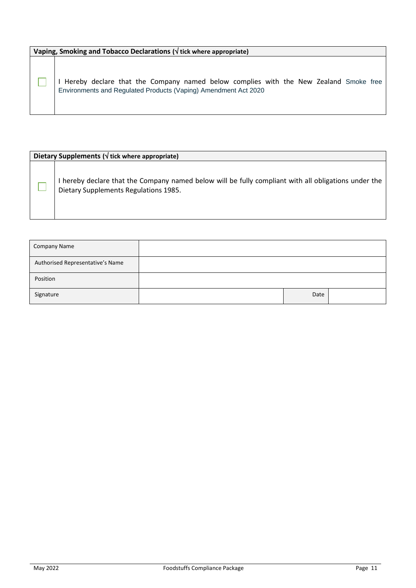**Vaping, Smoking and Tobacco Declarations ( tick where appropriate)**

I Hereby declare that the Company named below complies with the New Zealand Smoke free Environments and Regulated Products (Vaping) Amendment Act 2020

#### **Dietary Supplements ( tick where appropriate)**

٦

I hereby declare that the Company named below will be fully compliant with all obligations under the Dietary Supplements Regulations 1985.

| Company Name                     |      |  |
|----------------------------------|------|--|
| Authorised Representative's Name |      |  |
| Position                         |      |  |
| Signature                        | Date |  |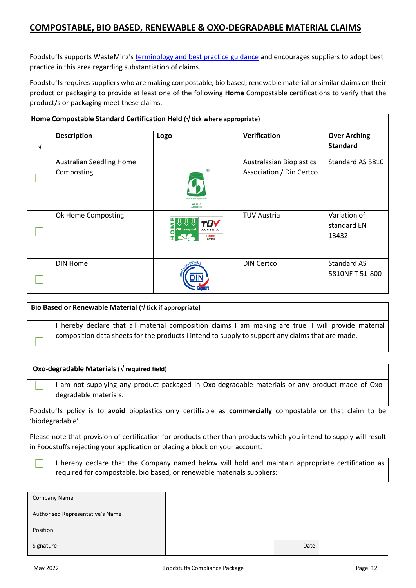## <span id="page-11-0"></span>**COMPOSTABLE, BIO BASED, RENEWABLE & OXO-DEGRADABLE MATERIAL CLAIMS**

Foodstuffs supports WasteMinz's [terminology and best practice guidance](https://www.wasteminz.org.nz/projects/compostable-packaging/) and encourages suppliers to adopt best practice in this area regarding substantiation of claims.

Foodstuffs requires suppliers who are making compostable, bio based, renewable material or similar claims on their product or packaging to provide at least one of the following **Home** Compostable certifications to verify that the product/s or packaging meet these claims.

| Home Compostable Standard Certification Held ( $\sqrt{ }$ tick where appropriate) |                                 |                                                            |                                 |                     |
|-----------------------------------------------------------------------------------|---------------------------------|------------------------------------------------------------|---------------------------------|---------------------|
|                                                                                   | <b>Description</b>              | Logo                                                       | Verification                    | <b>Over Arching</b> |
| √                                                                                 |                                 |                                                            |                                 | <b>Standard</b>     |
|                                                                                   | <b>Australian Seedling Home</b> |                                                            | <b>Australasian Bioplastics</b> | Standard AS 5810    |
|                                                                                   | Composting                      | <b>Iome Compostab</b><br><b>AS 5810</b><br><b>ABAX 999</b> | Association / Din Certco        |                     |
|                                                                                   | Ok Home Composting              |                                                            | <b>TUV Austria</b>              | Variation of        |
|                                                                                   |                                 | <b>OK</b> compost<br><b>AUSTRIA</b>                        |                                 | standard EN         |
|                                                                                   |                                 | <b>HOME</b><br><b>S0315</b>                                |                                 | 13432               |
|                                                                                   | <b>DIN Home</b>                 |                                                            | <b>DIN Certco</b>               | <b>Standard AS</b>  |
|                                                                                   |                                 |                                                            |                                 | 5810NF T 51-800     |
|                                                                                   |                                 |                                                            |                                 |                     |

| I hereby declare that all material composition claims I am making are true. I will provide material<br>composition data sheets for the products I intend to supply to support any claims that are made. | Bio Based or Renewable Material ( $\sqrt{ }$ tick if appropriate) |
|---------------------------------------------------------------------------------------------------------------------------------------------------------------------------------------------------------|-------------------------------------------------------------------|
|                                                                                                                                                                                                         |                                                                   |

#### **Oxo-degradable Materials ( required field)**

I am not supplying any product packaged in Oxo-degradable materials or any product made of Oxodegradable materials.

Foodstuffs policy is to **avoid** bioplastics only certifiable as **commercially** compostable or that claim to be 'biodegradable'.

Please note that provision of certification for products other than products which you intend to supply will result in Foodstuffs rejecting your application or placing a block on your account.

| I hereby declare that the Company named below will hold and maintain appropriate certification as |
|---------------------------------------------------------------------------------------------------|
| required for compostable, bio based, or renewable materials suppliers:                            |

| Company Name                     |      |  |
|----------------------------------|------|--|
| Authorised Representative's Name |      |  |
| Position                         |      |  |
| Signature                        | Date |  |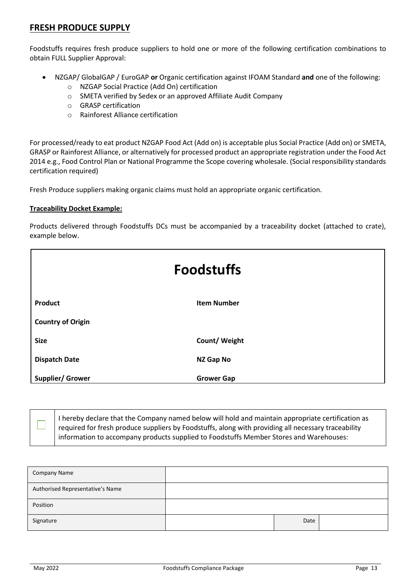#### <span id="page-12-0"></span>**FRESH PRODUCE SUPPLY**

Foodstuffs requires fresh produce suppliers to hold one or more of the following certification combinations to obtain FULL Supplier Approval:

- NZGAP/ GlobalGAP / EuroGAP **or** Organic certification against IFOAM Standard **and** one of the following:
	- o NZGAP Social Practice (Add On) certification
	- o SMETA verified by Sedex or an approved Affiliate Audit Company
	- o GRASP certification
	- o Rainforest Alliance certification

For processed/ready to eat product NZGAP Food Act (Add on) is acceptable plus Social Practice (Add on) or SMETA, GRASP or Rainforest Alliance, or alternatively for processed product an appropriate registration under the Food Act 2014 e.g., Food Control Plan or National Programme the Scope covering wholesale. (Social responsibility standards certification required)

Fresh Produce suppliers making organic claims must hold an appropriate organic certification.

#### **Traceability Docket Example:**

Products delivered through Foodstuffs DCs must be accompanied by a traceability docket (attached to crate), example below.

| <b>Foodstuffs</b>        |                    |
|--------------------------|--------------------|
| Product                  | <b>Item Number</b> |
| <b>Country of Origin</b> |                    |
| <b>Size</b>              | Count/ Weight      |
| <b>Dispatch Date</b>     | NZ Gap No          |
| <b>Supplier/ Grower</b>  | <b>Grower Gap</b>  |

I hereby declare that the Company named below will hold and maintain appropriate certification as required for fresh produce suppliers by Foodstuffs, along with providing all necessary traceability information to accompany products supplied to Foodstuffs Member Stores and Warehouses:

| <b>Company Name</b>              |      |  |
|----------------------------------|------|--|
| Authorised Representative's Name |      |  |
| Position                         |      |  |
| Signature                        | Date |  |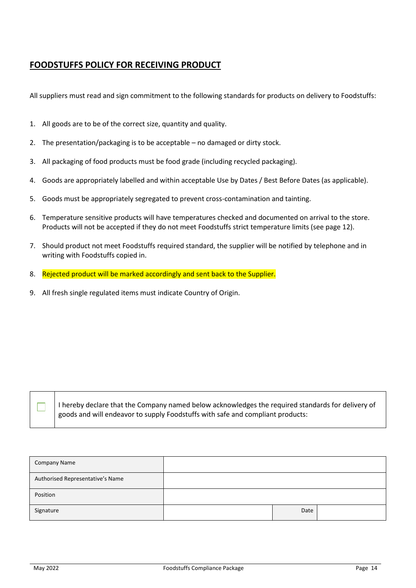#### <span id="page-13-0"></span>**FOODSTUFFS POLICY FOR RECEIVING PRODUCT**

All suppliers must read and sign commitment to the following standards for products on delivery to Foodstuffs:

- 1. All goods are to be of the correct size, quantity and quality.
- 2. The presentation/packaging is to be acceptable no damaged or dirty stock.
- 3. All packaging of food products must be food grade (including recycled packaging).
- 4. Goods are appropriately labelled and within acceptable Use by Dates / Best Before Dates (as applicable).
- 5. Goods must be appropriately segregated to prevent cross-contamination and tainting.
- 6. Temperature sensitive products will have temperatures checked and documented on arrival to the store. Products will not be accepted if they do not meet Foodstuffs strict temperature limits (see page 12).
- 7. Should product not meet Foodstuffs required standard, the supplier will be notified by telephone and in writing with Foodstuffs copied in.
- 8. Rejected product will be marked accordingly and sent back to the Supplier.
- 9. All fresh single regulated items must indicate Country of Origin.

I hereby declare that the Company named below acknowledges the required standards for delivery of goods and will endeavor to supply Foodstuffs with safe and compliant products:

| <b>Company Name</b>              |      |  |
|----------------------------------|------|--|
| Authorised Representative's Name |      |  |
| Position                         |      |  |
| Signature                        | Date |  |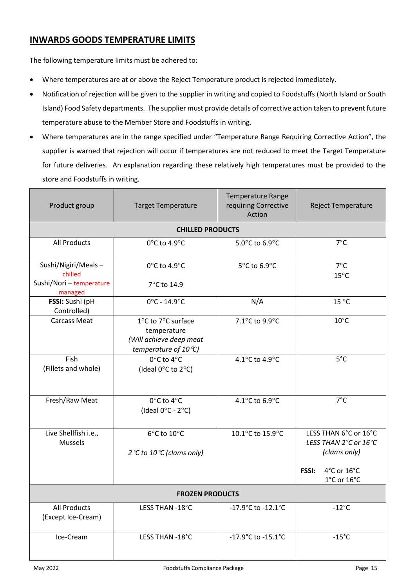# <span id="page-14-0"></span>**INWARDS GOODS TEMPERATURE LIMITS**

The following temperature limits must be adhered to:

- Where temperatures are at or above the Reject Temperature product is rejected immediately.
- Notification of rejection will be given to the supplier in writing and copied to Foodstuffs (North Island or South Island) Food Safety departments. The supplier must provide details of corrective action taken to prevent future temperature abuse to the Member Store and Foodstuffs in writing.
- Where temperatures are in the range specified under "Temperature Range Requiring Corrective Action", the supplier is warned that rejection will occur if temperatures are not reduced to meet the Target Temperature for future deliveries. An explanation regarding these relatively high temperatures must be provided to the store and Foodstuffs in writing*.*

<span id="page-14-1"></span>

| Product group                          | <b>Target Temperature</b>                                                               | <b>Temperature Range</b><br>requiring Corrective<br>Action | <b>Reject Temperature</b>                                                                                                 |  |
|----------------------------------------|-----------------------------------------------------------------------------------------|------------------------------------------------------------|---------------------------------------------------------------------------------------------------------------------------|--|
|                                        | <b>CHILLED PRODUCTS</b>                                                                 |                                                            |                                                                                                                           |  |
| <b>All Products</b>                    | 0°C to 4.9°C                                                                            | 5.0°C to 6.9°C                                             | $7^{\circ}$ C                                                                                                             |  |
| Sushi/Nigiri/Meals-<br>chilled         | $0^{\circ}$ C to 4.9 $^{\circ}$ C                                                       | 5°C to 6.9°C                                               | $7^{\circ}$ C<br>$15^{\circ}$ C                                                                                           |  |
| Sushi/Nori - temperature<br>managed    | 7°C to 14.9                                                                             |                                                            |                                                                                                                           |  |
| FSSI: Sushi (pH<br>Controlled)         | $0^{\circ}$ C - 14.9 $^{\circ}$ C                                                       | N/A                                                        | 15 °C                                                                                                                     |  |
| <b>Carcass Meat</b>                    | 1°C to 7°C surface<br>temperature<br>(Will achieve deep meat<br>temperature of 10 $C$ ) | 7.1°C to 9.9°C                                             | $10^{\circ}$ C                                                                                                            |  |
| Fish<br>(Fillets and whole)            | 0°C to 4°C<br>(Ideal 0°C to 2°C)                                                        | 4.1°C to 4.9°C                                             | $5^{\circ}$ C                                                                                                             |  |
| Fresh/Raw Meat                         | $0^{\circ}$ C to 4 $^{\circ}$ C<br>(Ideal $0^{\circ}$ C - 2 $^{\circ}$ C)               | 4.1 $^{\circ}$ C to 6.9 $^{\circ}$ C                       | $7^{\circ}$ C                                                                                                             |  |
| Live Shellfish i.e.,<br><b>Mussels</b> | 6°C to 10°C<br>2 °C to 10 °C (clams only)                                               | 10.1°C to 15.9°C                                           | LESS THAN 6°C or 16°C<br>LESS THAN 2°C or 16°C<br>(clams only)<br>FSSI:<br>4°C or 16°C<br>$1^{\circ}$ C or $16^{\circ}$ C |  |
| <b>FROZEN PRODUCTS</b>                 |                                                                                         |                                                            |                                                                                                                           |  |
| All Products<br>(Except Ice-Cream)     | LESS THAN -18°C                                                                         | -17.9°C to -12.1°C                                         | $-12^{\circ}$ C                                                                                                           |  |
| Ice-Cream                              | LESS THAN -18°C                                                                         | -17.9°C to -15.1°C                                         | $-15^{\circ}$ C                                                                                                           |  |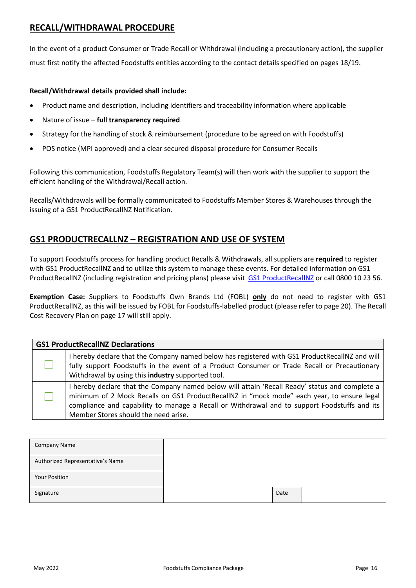#### **RECALL/WITHDRAWAL PROCEDURE**

In the event of a product Consumer or Trade Recall or Withdrawal (including a precautionary action), the supplier must first notify the affected Foodstuffs entities according to the contact details specified on pages 18/19.

#### **Recall/Withdrawal details provided shall include:**

- Product name and description, including identifiers and traceability information where applicable
- Nature of issue **full transparency required**
- Strategy for the handling of stock & reimbursement (procedure to be agreed on with Foodstuffs)
- POS notice (MPI approved) and a clear secured disposal procedure for Consumer Recalls

Following this communication, Foodstuffs Regulatory Team(s) will then work with the supplier to support the efficient handling of the Withdrawal/Recall action.

Recalls/Withdrawals will be formally communicated to Foodstuffs Member Stores & Warehouses through the issuing of a GS1 ProductRecallNZ Notification.

#### **GS1 PRODUCTRECALLNZ – REGISTRATION AND USE OF SYSTEM**

To support Foodstuffs process for handling product Recalls & Withdrawals, all suppliers are **required** to register with GS1 ProductRecallNZ and to utilize this system to manage these events. For detailed information on GS1 ProductRecallNZ (including registration and pricing plans) please visit [GS1 ProductRecallNZ](file://///vprdfile01/users$/Alarice.Guaves1/Desktop/Compliance%20Pack/GS1%20ProductRecallNZ) or call 0800 10 23 56.

**Exemption Case:** Suppliers to Foodstuffs Own Brands Ltd (FOBL) **only** do not need to register with GS1 ProductRecallNZ, as this will be issued by FOBL for Foodstuffs-labelled product (please refer to page 20). The Recall Cost Recovery Plan on page 17 will still apply.

| <b>GS1 ProductRecallNZ Declarations</b>                                                                                                                                                                                                                                                                                              |  |  |  |  |
|--------------------------------------------------------------------------------------------------------------------------------------------------------------------------------------------------------------------------------------------------------------------------------------------------------------------------------------|--|--|--|--|
| I hereby declare that the Company named below has registered with GS1 ProductRecalINZ and will<br>fully support Foodstuffs in the event of a Product Consumer or Trade Recall or Precautionary<br>Withdrawal by using this industry supported tool.                                                                                  |  |  |  |  |
| I hereby declare that the Company named below will attain 'Recall Ready' status and complete a<br>minimum of 2 Mock Recalls on GS1 ProductRecallNZ in "mock mode" each year, to ensure legal<br>compliance and capability to manage a Recall or Withdrawal and to support Foodstuffs and its<br>Member Stores should the need arise. |  |  |  |  |

| Company Name                     |      |  |
|----------------------------------|------|--|
| Authorized Representative's Name |      |  |
| <b>Your Position</b>             |      |  |
| Signature                        | Date |  |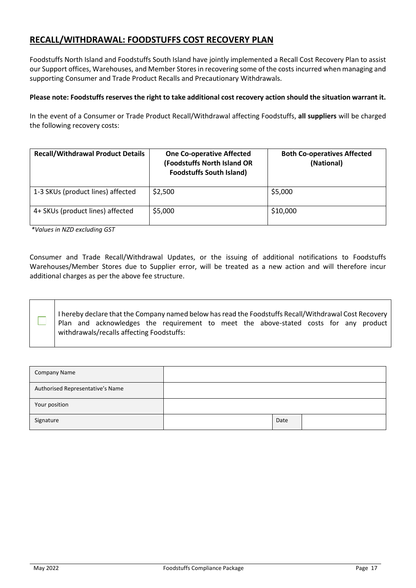# <span id="page-16-0"></span>**RECALL/WITHDRAWAL: FOODSTUFFS COST RECOVERY PLAN**

Foodstuffs North Island and Foodstuffs South Island have jointly implemented a Recall Cost Recovery Plan to assist our Support offices, Warehouses, and Member Stores in recovering some of the costs incurred when managing and supporting Consumer and Trade Product Recalls and Precautionary Withdrawals.

#### **Please note: Foodstuffs reserves the right to take additional cost recovery action should the situation warrant it.**

In the event of a Consumer or Trade Product Recall/Withdrawal affecting Foodstuffs, **all suppliers** will be charged the following recovery costs:

| <b>Recall/Withdrawal Product Details</b> | <b>One Co-operative Affected</b><br>(Foodstuffs North Island OR<br><b>Foodstuffs South Island)</b> | <b>Both Co-operatives Affected</b><br>(National) |
|------------------------------------------|----------------------------------------------------------------------------------------------------|--------------------------------------------------|
| 1-3 SKUs (product lines) affected        | \$2,500                                                                                            | \$5,000                                          |
| 4+ SKUs (product lines) affected         | \$5,000                                                                                            | \$10,000                                         |

*\*Values in NZD excluding GST*

٦

Consumer and Trade Recall/Withdrawal Updates, or the issuing of additional notifications to Foodstuffs Warehouses/Member Stores due to Supplier error, will be treated as a new action and will therefore incur additional charges as per the above fee structure.

I hereby declare that the Company named below has read the Foodstuffs Recall/Withdrawal Cost Recovery Plan and acknowledges the requirement to meet the above-stated costs for any product withdrawals/recalls affecting Foodstuffs:

| <b>Company Name</b>              |      |  |
|----------------------------------|------|--|
| Authorised Representative's Name |      |  |
| Your position                    |      |  |
| Signature                        | Date |  |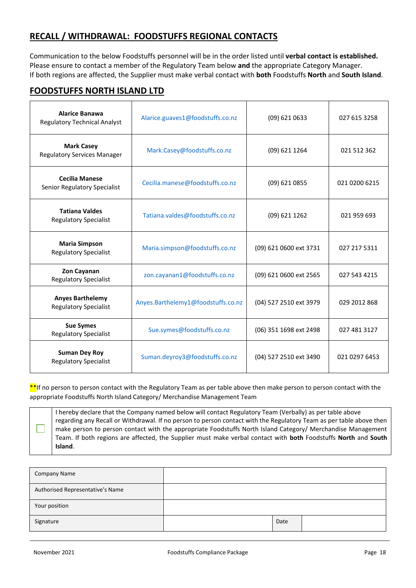# <span id="page-17-0"></span>**RECALL / WITHDRAWAL: FOODSTUFFS REGIONAL CONTACTS**

Communication to the below Foodstuffs personnel will be in the order listed until **verbal contact is established.** Please ensure to contact a member of the Regulatory Team below **and** the appropriate Category Manager. If both regions are affected, the Supplier must make verbal contact with **both** Foodstuffs **North** and **South Island**.

#### **FOODSTUFFS NORTH ISLAND LTD**

| <b>Alarice Banawa</b><br><b>Regulatory Technical Analyst</b> | Alarice.guaves1@foodstuffs.co.nz   | (09) 621 0633          | 027 615 3258  |
|--------------------------------------------------------------|------------------------------------|------------------------|---------------|
| <b>Mark Casey</b><br><b>Regulatory Services Manager</b>      | Mark.Casey@foodstuffs.co.nz        | (09) 621 1264          | 021 512 362   |
| <b>Cecilia Manese</b><br>Senior Regulatory Specialist        | Cecilia.manese@foodstuffs.co.nz    | (09) 621 0855          | 021 0200 6215 |
| <b>Tatiana Valdes</b><br><b>Regulatory Specialist</b>        | Tatiana.valdes@foodstuffs.co.nz    | (09) 621 1262          | 021 959 693   |
| <b>Maria Simpson</b><br><b>Regulatory Specialist</b>         | Maria.simpson@foodstuffs.co.nz     | (09) 621 0600 ext 3731 | 027 217 5311  |
| Zon Cayanan<br><b>Regulatory Specialist</b>                  | zon.cayanan1@foodstuffs.co.nz      | (09) 621 0600 ext 2565 | 027 543 4215  |
| <b>Anyes Barthelemy</b><br><b>Regulatory Specialist</b>      | Anyes.Barthelemy1@foodstuffs.co.nz | (04) 527 2510 ext 3979 | 029 2012 868  |
| <b>Sue Symes</b><br><b>Regulatory Specialist</b>             | Sue.symes@foodstuffs.co.nz         | (06) 351 1698 ext 2498 | 027 481 3127  |
| <b>Suman Dey Roy</b><br><b>Regulatory Specialist</b>         | Suman.deyroy3@foodstuffs.co.nz     | (04) 527 2510 ext 3490 | 021 0297 6453 |

\*\*If no person to person contact with the Regulatory Team as per table above then make person to person contact with the appropriate Foodstuffs North Island Category/ Merchandise Management Team

I hereby declare that the Company named below will contact Regulatory Team (Verbally) as per table above regarding any Recall or Withdrawal. If no person to person contact with the Regulatory Team as per table above then make person to person contact with the appropriate Foodstuffs North Island Category/ Merchandise Management Team. If both regions are affected, the Supplier must make verbal contact with **both** Foodstuffs **North** and **South Island**.

| Company Name                     |      |  |
|----------------------------------|------|--|
| Authorised Representative's Name |      |  |
| Your position                    |      |  |
| Signature                        | Date |  |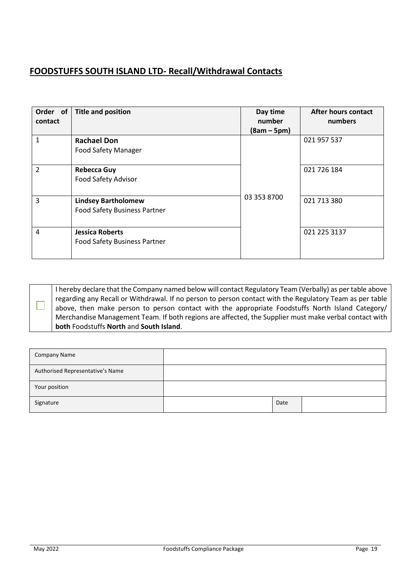# **FOODSTUFFS SOUTH ISLAND LTD- Recall/Withdrawal Contacts**

| Order of<br>contact | <b>Title and position</b>                                         | Day time<br>number<br>$(8am - 5pm)$ | <b>After hours contact</b><br>numbers |
|---------------------|-------------------------------------------------------------------|-------------------------------------|---------------------------------------|
| 1                   | <b>Rachael Don</b><br><b>Food Safety Manager</b>                  |                                     | 021 957 537                           |
| $\overline{2}$      | <b>Rebecca Guy</b><br>Food Safety Advisor                         |                                     | 021 726 184                           |
| 3                   | <b>Lindsey Bartholomew</b><br><b>Food Safety Business Partner</b> | 03 353 8700                         | 021 713 380                           |
| 4                   | <b>Jessica Roberts</b><br><b>Food Safety Business Partner</b>     |                                     | 021 225 3137                          |

I hereby declare that the Company named below will contact Regulatory Team (Verbally) as per table above regarding any Recall or Withdrawal. If no person to person contact with the Regulatory Team as per table above, then make person to person contact with the appropriate Foodstuffs North Island Category/ Merchandise Management Team. If both regions are affected, the Supplier must make verbal contact with **both** Foodstuffs **North** and **South Island**.

<span id="page-18-0"></span>

| <b>Company Name</b>              |      |  |
|----------------------------------|------|--|
| Authorised Representative's Name |      |  |
| Your position                    |      |  |
| Signature                        | Date |  |

 $\Box$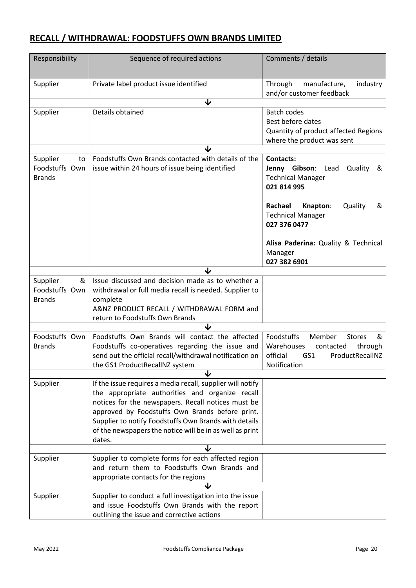# **RECALL / WITHDRAWAL: FOODSTUFFS OWN BRANDS LIMITED**

| Responsibility | Sequence of required actions                               | Comments / details                         |
|----------------|------------------------------------------------------------|--------------------------------------------|
|                |                                                            |                                            |
| Supplier       | Private label product issue identified                     | Through<br>manufacture,<br>industry        |
|                |                                                            | and/or customer feedback                   |
|                | ↓                                                          |                                            |
| Supplier       | Details obtained                                           | <b>Batch codes</b>                         |
|                |                                                            | Best before dates                          |
|                |                                                            | Quantity of product affected Regions       |
|                |                                                            | where the product was sent                 |
| Supplier<br>to | Foodstuffs Own Brands contacted with details of the        | <b>Contacts:</b>                           |
| Foodstuffs Own | issue within 24 hours of issue being identified            | Jenny Gibson: Lead<br>Quality<br>୍ଷ        |
| <b>Brands</b>  |                                                            | <b>Technical Manager</b>                   |
|                |                                                            | 021 814 995                                |
|                |                                                            | Rachael<br>Quality<br>Knapton:<br>&        |
|                |                                                            | <b>Technical Manager</b>                   |
|                |                                                            | 027 376 0477                               |
|                |                                                            |                                            |
|                |                                                            | Alisa Paderina: Quality & Technical        |
|                |                                                            | Manager<br>027 382 6901                    |
|                |                                                            |                                            |
| &<br>Supplier  | Issue discussed and decision made as to whether a          |                                            |
| Foodstuffs Own | withdrawal or full media recall is needed. Supplier to     |                                            |
| <b>Brands</b>  | complete                                                   |                                            |
|                | A&NZ PRODUCT RECALL / WITHDRAWAL FORM and                  |                                            |
|                | return to Foodstuffs Own Brands                            |                                            |
|                | ◡                                                          |                                            |
| Foodstuffs Own | Foodstuffs Own Brands will contact the affected            | Foodstuffs<br>Member<br><b>Stores</b><br>& |
| <b>Brands</b>  | Foodstuffs co-operatives regarding the issue and           | Warehouses<br>through<br>contacted         |
|                | send out the official recall/withdrawal notification on    | official<br>GS1<br>ProductRecallNZ         |
|                | the GS1 ProductRecallNZ system<br>↓                        | Notification                               |
| Supplier       | If the issue requires a media recall, supplier will notify |                                            |
|                | the appropriate authorities and organize recall            |                                            |
|                | notices for the newspapers. Recall notices must be         |                                            |
|                | approved by Foodstuffs Own Brands before print.            |                                            |
|                | Supplier to notify Foodstuffs Own Brands with details      |                                            |
|                | of the newspapers the notice will be in as well as print   |                                            |
|                | dates.                                                     |                                            |
|                | ◡                                                          |                                            |
| Supplier       | Supplier to complete forms for each affected region        |                                            |
|                | and return them to Foodstuffs Own Brands and               |                                            |
|                | appropriate contacts for the regions                       |                                            |
|                | ◡                                                          |                                            |
| Supplier       | Supplier to conduct a full investigation into the issue    |                                            |
|                | and issue Foodstuffs Own Brands with the report            |                                            |
|                | outlining the issue and corrective actions                 |                                            |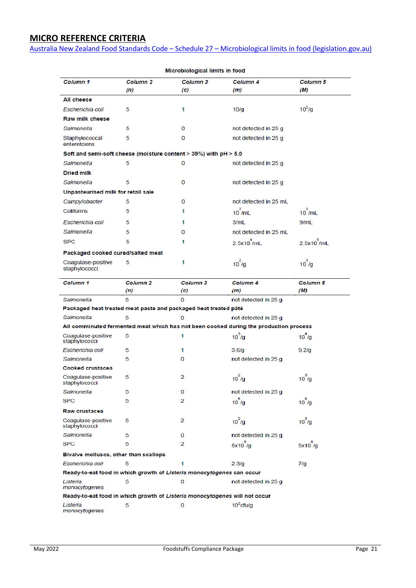# <span id="page-20-0"></span>**MICRO REFERENCE CRITERIA**

Australia New Zealand Food Standards Code – Schedule 27 – [Microbiological limits in food \(legislation.gov.au\)](https://www.legislation.gov.au/Details/F2021C00605)

| Column 1                                                         | Column <sub>2</sub>        | Column <sub>3</sub>                                                        | Column 4                                                                              | <b>Column 5</b>        |
|------------------------------------------------------------------|----------------------------|----------------------------------------------------------------------------|---------------------------------------------------------------------------------------|------------------------|
|                                                                  | (n)                        | (c)                                                                        | (m)                                                                                   | (M)                    |
| All cheese                                                       |                            |                                                                            |                                                                                       |                        |
| Escherichia coli                                                 | 5                          | 1                                                                          | 10/q                                                                                  | $10^2$ /g              |
| Raw milk cheese                                                  |                            |                                                                            |                                                                                       |                        |
| Salmonella                                                       | 5                          | 0                                                                          | not detected in 25 g                                                                  |                        |
| Staphylococcal<br>enterotoxins                                   | 5                          | 0                                                                          | not detected in 25 g                                                                  |                        |
| Soft and semi-soft cheese (moisture content > 39%) with pH > 5.0 |                            |                                                                            |                                                                                       |                        |
| Salmonella                                                       | 5                          | 0                                                                          | not detected in 25 g                                                                  |                        |
| <b>Dried milk</b>                                                |                            |                                                                            |                                                                                       |                        |
| Salmonella                                                       | 5                          | 0                                                                          | not detected in 25 g                                                                  |                        |
| Unpasteurised milk for retail sale                               |                            |                                                                            |                                                                                       |                        |
| Campylobacter                                                    | 5                          | 0                                                                          | not detected in 25 mL                                                                 |                        |
| <b>Coliforms</b>                                                 | 5                          | 1                                                                          | $10^2$ /mL                                                                            | $10^3$ /mL             |
| Escherichia coli                                                 | 5                          | 1                                                                          | 3/mL                                                                                  | 9/mL                   |
| Salmonella                                                       | 5                          | 0                                                                          | not detected in 25 mL                                                                 |                        |
| <b>SPC</b>                                                       | 5                          | 1                                                                          | $2.5x10^{4}$ /mL                                                                      | $2.5x10^5$ /mL         |
| Packaged cooked cured/salted meat                                |                            |                                                                            |                                                                                       |                        |
| Coagulase-positive<br>staphylococci                              | 5                          | 1                                                                          | $10^2$ /g                                                                             | $10^3$ /g              |
| Column <sub>1</sub>                                              | Column <sub>2</sub><br>(n) | Column <sub>3</sub><br>(c)                                                 | Column <sub>4</sub><br>(m)                                                            | <b>Column 5</b><br>(M) |
| Salmonella                                                       | 5                          | 0                                                                          | not detected in 25 g                                                                  |                        |
|                                                                  |                            | Packaged heat treated meat paste and packaged heat treated pâté            |                                                                                       |                        |
| Salmonella                                                       | 5                          | 0                                                                          | not detected in 25 g                                                                  |                        |
|                                                                  |                            |                                                                            | All comminuted fermented meat which has not been cooked during the production process |                        |
| Coagulase-positive<br>staphylococci                              | 5                          | 1                                                                          | $10^3$ /g                                                                             | $10^4$ /g              |
| Escherichia coli                                                 | 5                          | 1                                                                          | 3.6/g                                                                                 | 9.2/q                  |
| Salmonella                                                       | 5                          | 0                                                                          | not detected in 25 g                                                                  |                        |
| Cooked crustacea                                                 |                            |                                                                            |                                                                                       |                        |
| Coagulase-positive<br>staphylococci                              | 5                          | 2                                                                          | $10^2/g$                                                                              | $10^3$ /g              |
| Salmonella                                                       | 5                          | 0                                                                          | not detected in 25 g                                                                  |                        |
| <b>SPC</b>                                                       | 5                          | 2                                                                          | $10^{5}$ /g                                                                           | $10^{6}$ /g            |
| Raw crustacea                                                    |                            |                                                                            |                                                                                       |                        |
| Coagulase-positive<br>staphylococci                              | 5                          | 2                                                                          | $10^2$ /g                                                                             | $10^3$ /g              |
| Salmonella                                                       | 5                          | 0                                                                          | not detected in 25 g                                                                  |                        |
| <b>SPC</b>                                                       | 5                          | 2                                                                          | $5x10^{\degree}$ /g                                                                   | $5x10^6/g$             |
| Bivalve molluscs, other than scallops                            |                            |                                                                            |                                                                                       |                        |
| Escherichia coli                                                 | 5                          | 1                                                                          | 2.3/g                                                                                 | 7/g                    |
|                                                                  |                            | Ready-to-eat food in which growth of Listeria monocytogenes can occur      |                                                                                       |                        |
| Listeria<br>monocytogenes                                        | 5                          | 0                                                                          | not detected in 25 g                                                                  |                        |
|                                                                  |                            | Ready-to-eat food in which growth of Listeria monocytogenes will not occur |                                                                                       |                        |
| Listeria<br>monocytogenes                                        | 5                          | 0                                                                          | $10^2$ cfu/g                                                                          |                        |